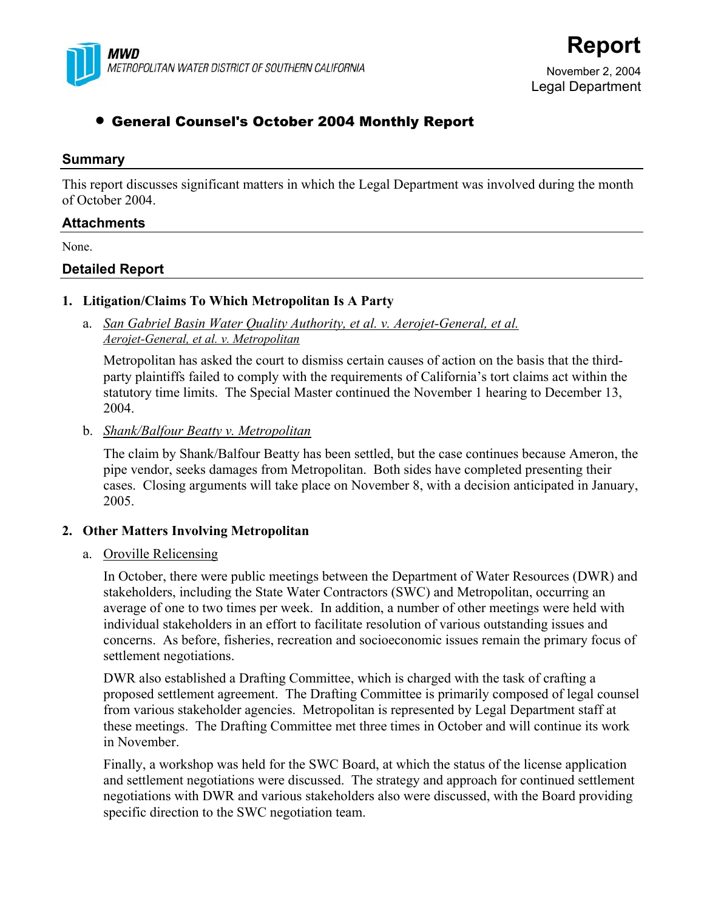

# **Report**

November 2, 2004 Legal Department

# • General Counsel's October 2004 Monthly Report

#### **Summary**

This report discusses significant matters in which the Legal Department was involved during the month of October 2004.

#### **Attachments**

None.

## **Detailed Report**

#### **1. Litigation/Claims To Which Metropolitan Is A Party**

 a. *San Gabriel Basin Water Quality Authority, et al. v. Aerojet-General, et al. Aerojet-General, et al. v. Metropolitan*

Metropolitan has asked the court to dismiss certain causes of action on the basis that the thirdparty plaintiffs failed to comply with the requirements of California's tort claims act within the statutory time limits. The Special Master continued the November 1 hearing to December 13, 2004.

b. *Shank/Balfour Beatty v. Metropolitan*

The claim by Shank/Balfour Beatty has been settled, but the case continues because Ameron, the pipe vendor, seeks damages from Metropolitan. Both sides have completed presenting their cases. Closing arguments will take place on November 8, with a decision anticipated in January, 2005.

## **2. Other Matters Involving Metropolitan**

a. Oroville Relicensing

In October, there were public meetings between the Department of Water Resources (DWR) and stakeholders, including the State Water Contractors (SWC) and Metropolitan, occurring an average of one to two times per week. In addition, a number of other meetings were held with individual stakeholders in an effort to facilitate resolution of various outstanding issues and concerns. As before, fisheries, recreation and socioeconomic issues remain the primary focus of settlement negotiations.

DWR also established a Drafting Committee, which is charged with the task of crafting a proposed settlement agreement. The Drafting Committee is primarily composed of legal counsel from various stakeholder agencies. Metropolitan is represented by Legal Department staff at these meetings. The Drafting Committee met three times in October and will continue its work in November.

Finally, a workshop was held for the SWC Board, at which the status of the license application and settlement negotiations were discussed. The strategy and approach for continued settlement negotiations with DWR and various stakeholders also were discussed, with the Board providing specific direction to the SWC negotiation team.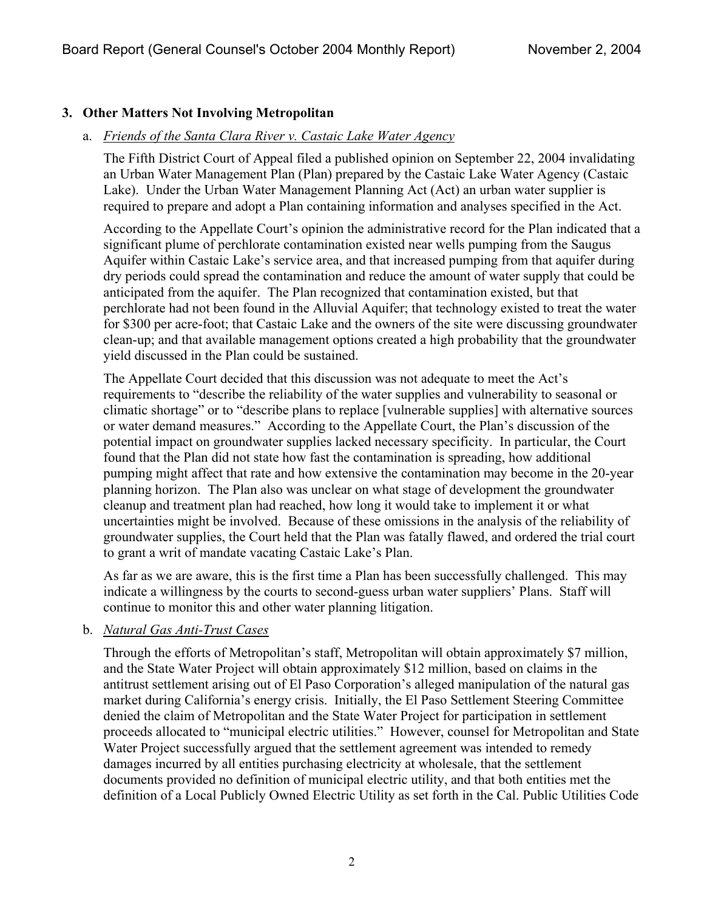# **3. Other Matters Not Involving Metropolitan**

## a. *Friends of the Santa Clara River v. Castaic Lake Water Agency*

The Fifth District Court of Appeal filed a published opinion on September 22, 2004 invalidating an Urban Water Management Plan (Plan) prepared by the Castaic Lake Water Agency (Castaic Lake). Under the Urban Water Management Planning Act (Act) an urban water supplier is required to prepare and adopt a Plan containing information and analyses specified in the Act.

According to the Appellate Court's opinion the administrative record for the Plan indicated that a significant plume of perchlorate contamination existed near wells pumping from the Saugus Aquifer within Castaic Lake's service area, and that increased pumping from that aquifer during dry periods could spread the contamination and reduce the amount of water supply that could be anticipated from the aquifer. The Plan recognized that contamination existed, but that perchlorate had not been found in the Alluvial Aquifer; that technology existed to treat the water for \$300 per acre-foot; that Castaic Lake and the owners of the site were discussing groundwater clean-up; and that available management options created a high probability that the groundwater yield discussed in the Plan could be sustained.

The Appellate Court decided that this discussion was not adequate to meet the Act's requirements to "describe the reliability of the water supplies and vulnerability to seasonal or climatic shortage" or to "describe plans to replace [vulnerable supplies] with alternative sources or water demand measures." According to the Appellate Court, the Plan's discussion of the potential impact on groundwater supplies lacked necessary specificity. In particular, the Court found that the Plan did not state how fast the contamination is spreading, how additional pumping might affect that rate and how extensive the contamination may become in the 20-year planning horizon. The Plan also was unclear on what stage of development the groundwater cleanup and treatment plan had reached, how long it would take to implement it or what uncertainties might be involved. Because of these omissions in the analysis of the reliability of groundwater supplies, the Court held that the Plan was fatally flawed, and ordered the trial court to grant a writ of mandate vacating Castaic Lake's Plan.

As far as we are aware, this is the first time a Plan has been successfully challenged. This may indicate a willingness by the courts to second-guess urban water suppliers' Plans. Staff will continue to monitor this and other water planning litigation.

## b. *Natural Gas Anti-Trust Cases*

Through the efforts of Metropolitan's staff, Metropolitan will obtain approximately \$7 million, and the State Water Project will obtain approximately \$12 million, based on claims in the antitrust settlement arising out of El Paso Corporation's alleged manipulation of the natural gas market during California's energy crisis. Initially, the El Paso Settlement Steering Committee denied the claim of Metropolitan and the State Water Project for participation in settlement proceeds allocated to "municipal electric utilities." However, counsel for Metropolitan and State Water Project successfully argued that the settlement agreement was intended to remedy damages incurred by all entities purchasing electricity at wholesale, that the settlement documents provided no definition of municipal electric utility, and that both entities met the definition of a Local Publicly Owned Electric Utility as set forth in the Cal. Public Utilities Code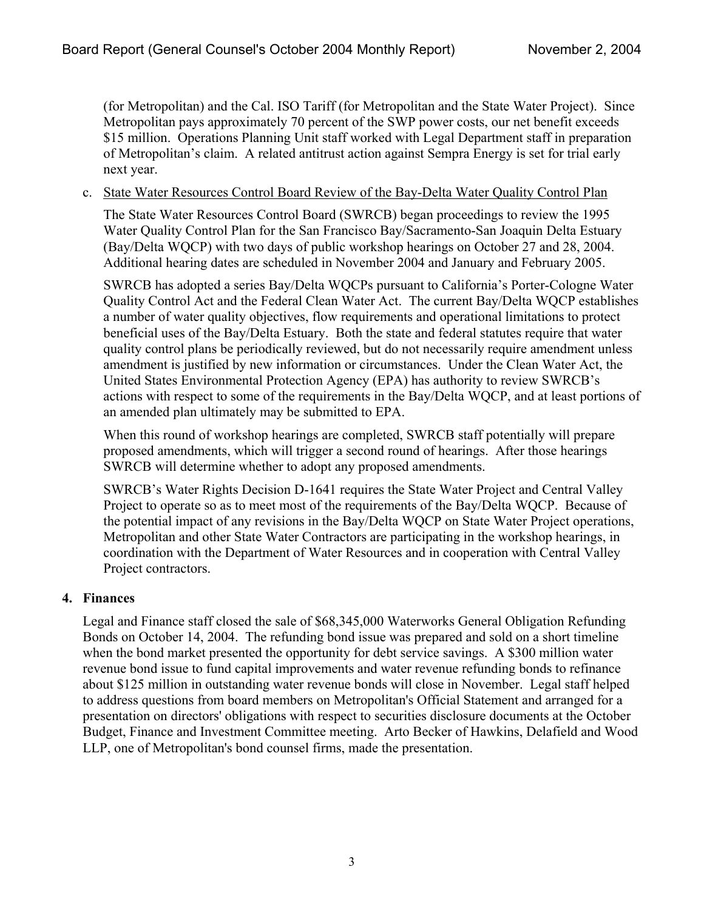(for Metropolitan) and the Cal. ISO Tariff (for Metropolitan and the State Water Project). Since Metropolitan pays approximately 70 percent of the SWP power costs, our net benefit exceeds \$15 million. Operations Planning Unit staff worked with Legal Department staff in preparation of Metropolitan's claim. A related antitrust action against Sempra Energy is set for trial early next year.

#### c. State Water Resources Control Board Review of the Bay-Delta Water Quality Control Plan

The State Water Resources Control Board (SWRCB) began proceedings to review the 1995 Water Quality Control Plan for the San Francisco Bay/Sacramento-San Joaquin Delta Estuary (Bay/Delta WQCP) with two days of public workshop hearings on October 27 and 28, 2004. Additional hearing dates are scheduled in November 2004 and January and February 2005.

SWRCB has adopted a series Bay/Delta WQCPs pursuant to California's Porter-Cologne Water Quality Control Act and the Federal Clean Water Act. The current Bay/Delta WQCP establishes a number of water quality objectives, flow requirements and operational limitations to protect beneficial uses of the Bay/Delta Estuary. Both the state and federal statutes require that water quality control plans be periodically reviewed, but do not necessarily require amendment unless amendment is justified by new information or circumstances. Under the Clean Water Act, the United States Environmental Protection Agency (EPA) has authority to review SWRCB's actions with respect to some of the requirements in the Bay/Delta WQCP, and at least portions of an amended plan ultimately may be submitted to EPA.

When this round of workshop hearings are completed, SWRCB staff potentially will prepare proposed amendments, which will trigger a second round of hearings. After those hearings SWRCB will determine whether to adopt any proposed amendments.

SWRCB's Water Rights Decision D-1641 requires the State Water Project and Central Valley Project to operate so as to meet most of the requirements of the Bay/Delta WQCP. Because of the potential impact of any revisions in the Bay/Delta WQCP on State Water Project operations, Metropolitan and other State Water Contractors are participating in the workshop hearings, in coordination with the Department of Water Resources and in cooperation with Central Valley Project contractors.

## **4. Finances**

Legal and Finance staff closed the sale of \$68,345,000 Waterworks General Obligation Refunding Bonds on October 14, 2004. The refunding bond issue was prepared and sold on a short timeline when the bond market presented the opportunity for debt service savings. A \$300 million water revenue bond issue to fund capital improvements and water revenue refunding bonds to refinance about \$125 million in outstanding water revenue bonds will close in November. Legal staff helped to address questions from board members on Metropolitan's Official Statement and arranged for a presentation on directors' obligations with respect to securities disclosure documents at the October Budget, Finance and Investment Committee meeting. Arto Becker of Hawkins, Delafield and Wood LLP, one of Metropolitan's bond counsel firms, made the presentation.